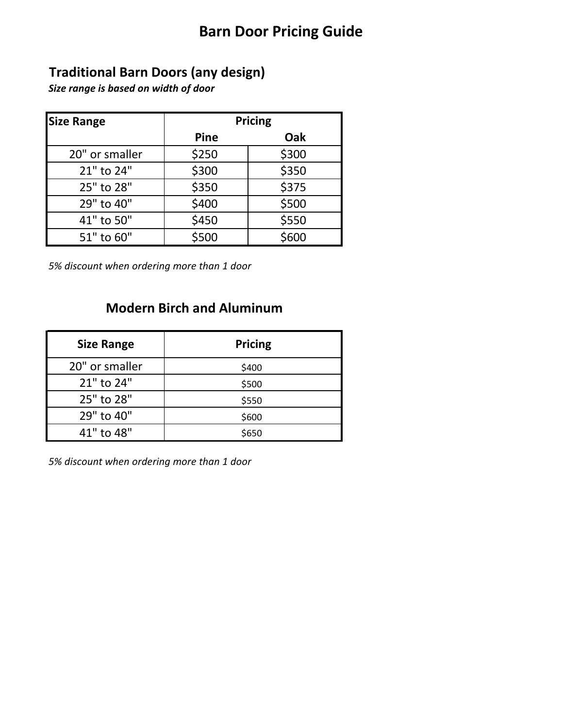### **Barn Door Pricing Guide**

### **Traditional Barn Doors (any design)**

*Size range is based on width of door*

| <b>Size Range</b> | Pricing     |       |
|-------------------|-------------|-------|
|                   | <b>Pine</b> | Oak   |
| 20" or smaller    | \$250       | \$300 |
| 21" to 24"        | \$300       | \$350 |
| 25" to 28"        | \$350       | \$375 |
| 29" to 40"        | \$400       | \$500 |
| 41" to 50"        | \$450       | \$550 |
| 51" to 60"        | \$500       | \$600 |

*5% discount when ordering more than 1 door*

#### **Modern Birch and Aluminum**

| <b>Size Range</b> | <b>Pricing</b> |
|-------------------|----------------|
| 20" or smaller    | \$400          |
| 21" to 24"        | \$500          |
| 25" to 28"        | \$550          |
| 29" to 40"        | \$600          |
| 41" to 48"        | \$650          |

*5% discount when ordering more than 1 door*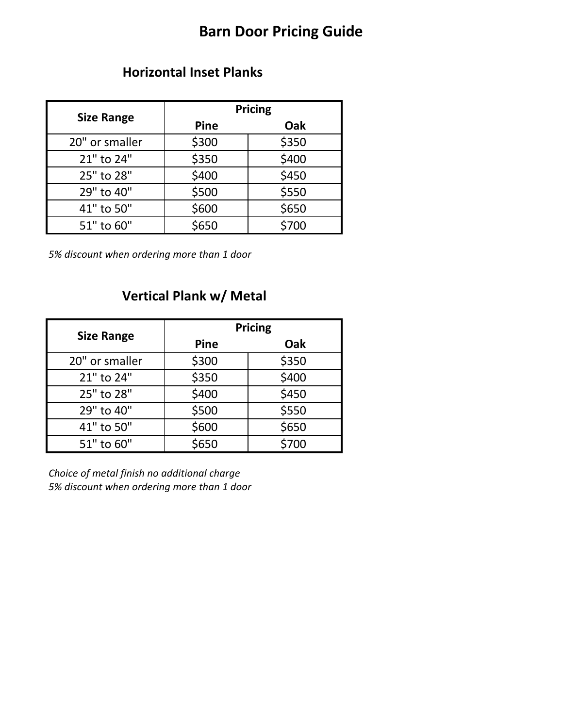## **Barn Door Pricing Guide**

#### **Horizontal Inset Planks**

| <b>Size Range</b> | <b>Pricing</b> |       |
|-------------------|----------------|-------|
|                   | Pine           | Oak   |
| 20" or smaller    | \$300          | \$350 |
| 21" to 24"        | \$350          | \$400 |
| 25" to 28"        | \$400          | \$450 |
| 29" to 40"        | \$500          | \$550 |
| 41" to 50"        | \$600          | \$650 |
| 51" to 60"        | \$650          | \$700 |

*5% discount when ordering more than 1 door*

## **Vertical Plank w/ Metal**

| <b>Size Range</b> | <b>Pricing</b> |       |
|-------------------|----------------|-------|
|                   | Pine           | Oak   |
| 20" or smaller    | \$300          | \$350 |
| 21" to 24"        | \$350          | \$400 |
| 25" to 28"        | \$400          | \$450 |
| 29" to 40"        | \$500          | \$550 |
| 41" to 50"        | \$600          | \$650 |
| 51" to 60"        | \$650          | \$700 |

*Choice of metal finish no additional charge 5% discount when ordering more than 1 door*